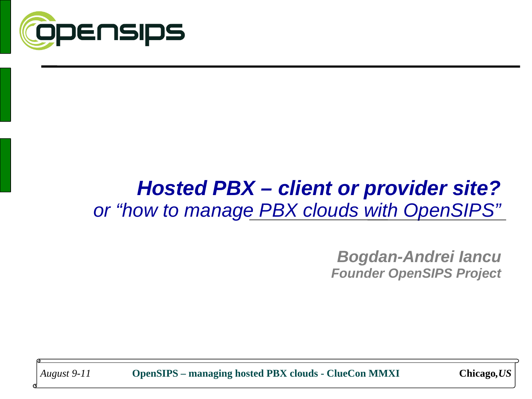

### *Hosted PBX – client or provider site? or "how to manage PBX clouds with OpenSIPS"*

*Bogdan-Andrei Iancu Founder OpenSIPS Project*

*August 9-11* **OpenSIPS – managing hosted PBX clouds - ClueCon MMXI Chicago***,US*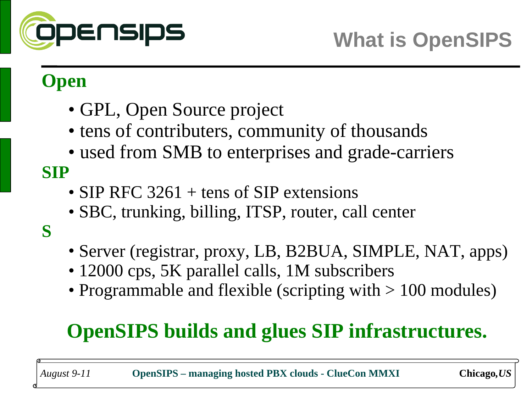

#### **Open**

- GPL, Open Source project
- tens of contributers, community of thousands
- used from SMB to enterprises and grade-carriers

**SIP**

- SIP RFC 3261 + tens of SIP extensions
- SBC, trunking, billing, ITSP, router, call center

**S**

- Server (registrar, proxy, LB, B2BUA, SIMPLE, NAT, apps)
- 12000 cps, 5K parallel calls, 1M subscribers
- Programmable and flexible (scripting with  $> 100$  modules)

# **OpenSIPS builds and glues SIP infrastructures.**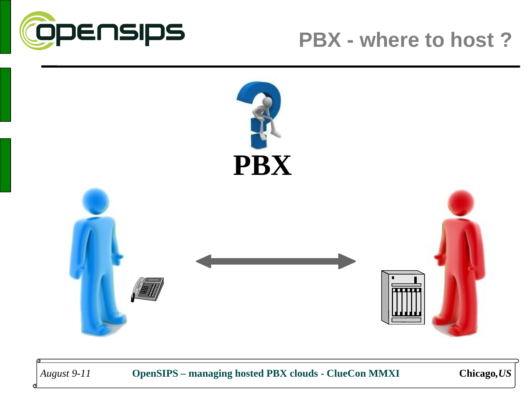

#### **PBX - where to host ?**



*August 9-11* **OpenSIPS – managing hosted PBX clouds - ClueCon MMXI Chicago***,US*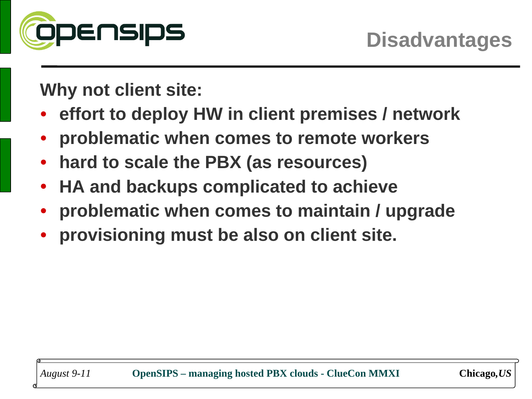

**Why not client site:**

- **effort to deploy HW in client premises / network**
- **problematic when comes to remote workers**
- **hard to scale the PBX (as resources)**
- **HA and backups complicated to achieve**
- **problematic when comes to maintain / upgrade**
- **provisioning must be also on client site.**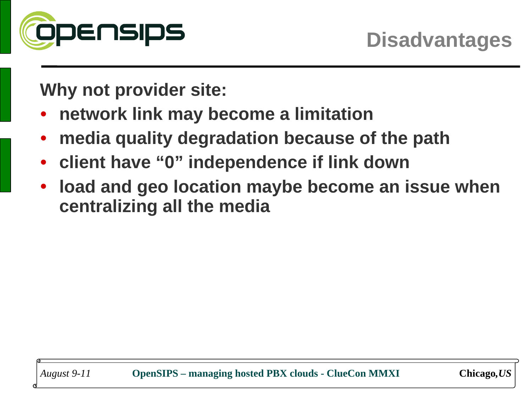

**Why not provider site:**

- **network link may become a limitation**
- **media quality degradation because of the path**
- **client have "0" independence if link down**
- **load and geo location maybe become an issue when centralizing all the media**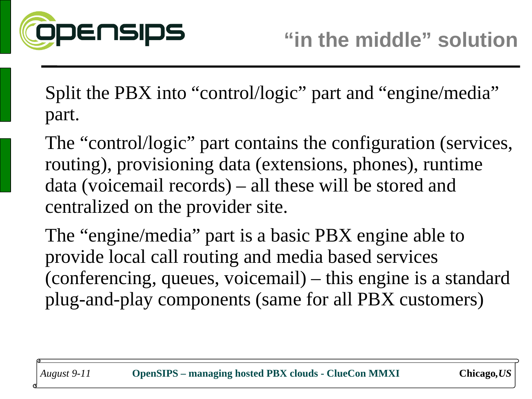

Split the PBX into "control/logic" part and "engine/media" part.

The "control/logic" part contains the configuration (services, routing), provisioning data (extensions, phones), runtime data (voicemail records) – all these will be stored and centralized on the provider site.

The "engine/media" part is a basic PBX engine able to provide local call routing and media based services (conferencing, queues, voicemail) – this engine is a standard plug-and-play components (same for all PBX customers)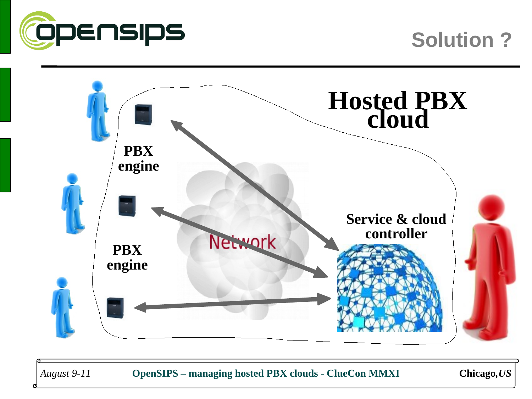

#### **Solution ?**



*August 9-11* **OpenSIPS – managing hosted PBX clouds - ClueCon MMXI Chicago***,US*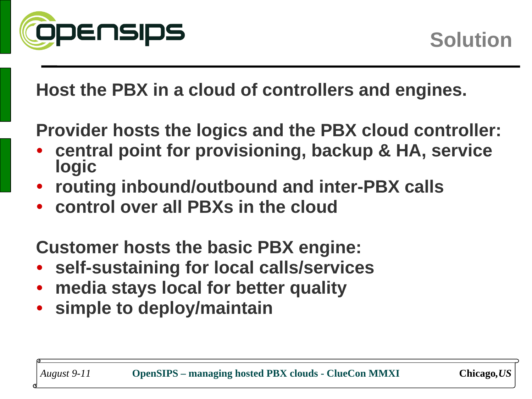

**Host the PBX in a cloud of controllers and engines.**

**Provider hosts the logics and the PBX cloud controller:**

- **central point for provisioning, backup & HA, service logic**
- **routing inbound/outbound and inter-PBX calls**
- **control over all PBXs in the cloud**

**Customer hosts the basic PBX engine:**

- **self-sustaining for local calls/services**
- **media stays local for better quality**
- **simple to deploy/maintain**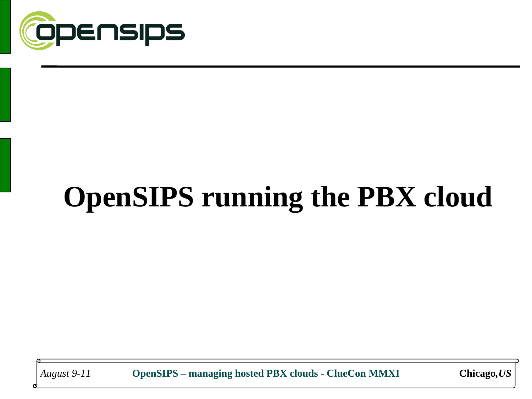

# **OpenSIPS running the PBX cloud**

*August 9-11* **OpenSIPS – managing hosted PBX clouds - ClueCon MMXI Chicago***,US*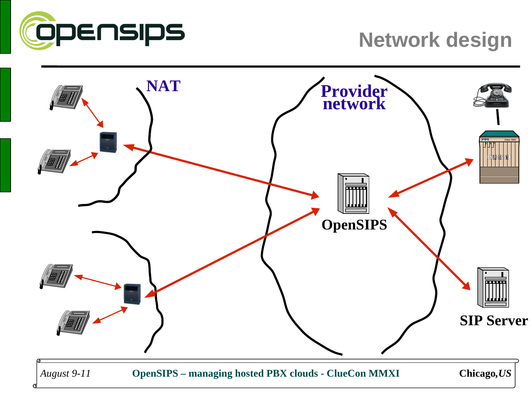

#### **Network design**

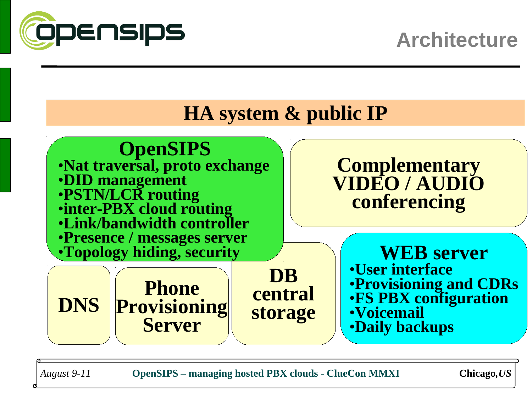

#### **HA system & public IP**



*August 9-11* **OpenSIPS – managing hosted PBX clouds - ClueCon MMXI Chicago***,US*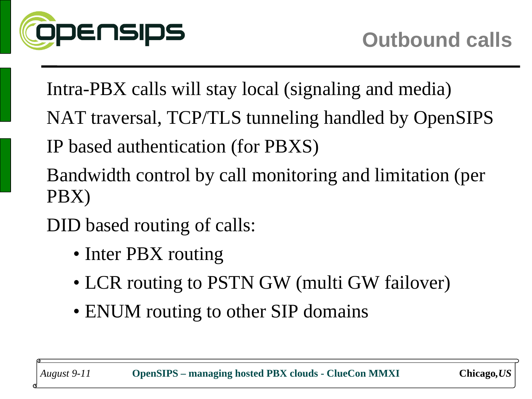

Intra-PBX calls will stay local (signaling and media)

- NAT traversal, TCP/TLS tunneling handled by OpenSIPS
- IP based authentication (for PBXS)
- Bandwidth control by call monitoring and limitation (per PBX)
- DID based routing of calls:
	- Inter PBX routing
	- LCR routing to PSTN GW (multi GW failover)
	- ENUM routing to other SIP domains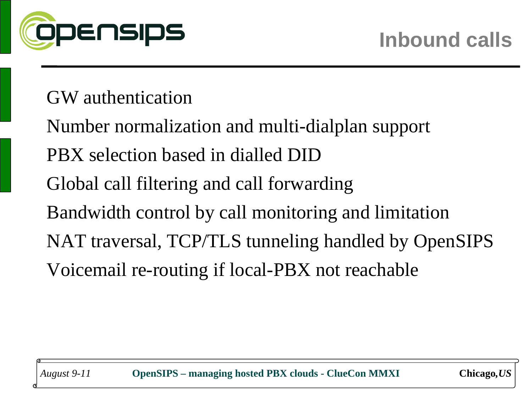

#### GW authentication

Number normalization and multi-dialplan support PBX selection based in dialled DID Global call filtering and call forwarding Bandwidth control by call monitoring and limitation NAT traversal, TCP/TLS tunneling handled by OpenSIPS Voicemail re-routing if local-PBX not reachable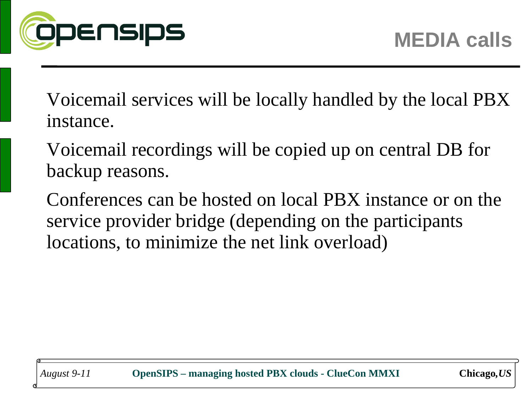

Voicemail services will be locally handled by the local PBX instance.

- Voicemail recordings will be copied up on central DB for backup reasons.
- Conferences can be hosted on local PBX instance or on the service provider bridge (depending on the participants locations, to minimize the net link overload)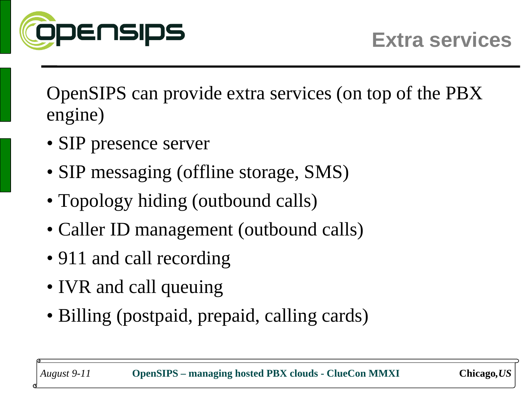

OpenSIPS can provide extra services (on top of the PBX engine)

- SIP presence server
- SIP messaging (offline storage, SMS)
- Topology hiding (outbound calls)
- Caller ID management (outbound calls)
- 911 and call recording
- IVR and call queuing
- Billing (postpaid, prepaid, calling cards)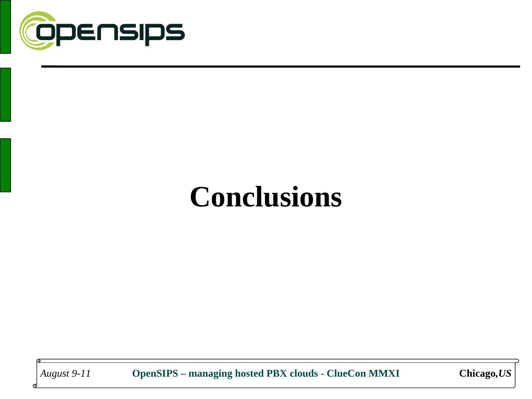

# **Conclusions**

*August 9-11* **OpenSIPS – managing hosted PBX clouds - ClueCon MMXI Chicago***,US*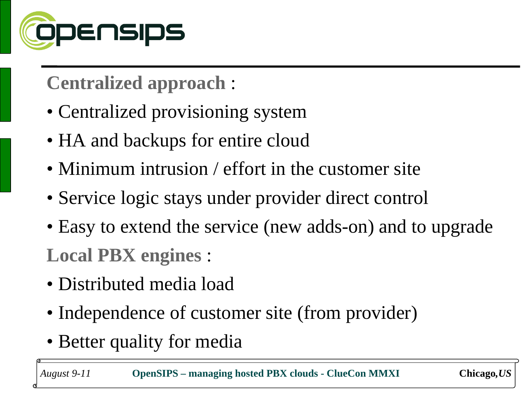

## **Centralized approach** :

- Centralized provisioning system
- HA and backups for entire cloud
- Minimum intrusion / effort in the customer site
- Service logic stays under provider direct control
- Easy to extend the service (new adds-on) and to upgrade **Local PBX engines** :

- Distributed media load
- Independence of customer site (from provider)
- Better quality for media